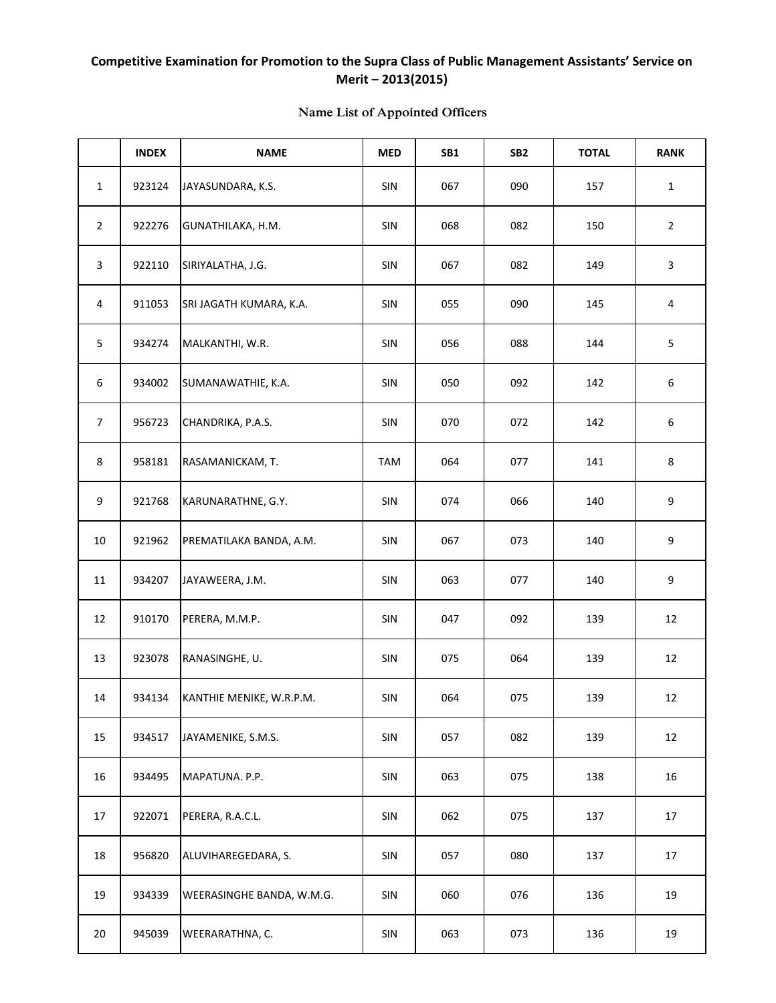## **Competitive Examination for Promotion to the Supra Class of Public Management Assistants' Service on Merit – 2013(2015)**

|                | <b>INDEX</b> | <b>NAME</b>               | <b>MED</b> | <b>SB1</b> | SB <sub>2</sub> | <b>TOTAL</b> | <b>RANK</b>    |
|----------------|--------------|---------------------------|------------|------------|-----------------|--------------|----------------|
| $\mathbf{1}$   | 923124       | JAYASUNDARA, K.S.         | SIN        | 067        | 090             | 157          | $\mathbf{1}$   |
| $\overline{2}$ | 922276       | GUNATHILAKA, H.M.         | SIN        | 068        | 082             | 150          | $\overline{2}$ |
| 3              | 922110       | SIRIYALATHA, J.G.         | SIN        | 067        | 082             | 149          | 3              |
| 4              | 911053       | SRI JAGATH KUMARA, K.A.   | SIN        | 055        | 090             | 145          | 4              |
| 5              | 934274       | MALKANTHI, W.R.           | SIN        | 056        | 088             | 144          | 5              |
| 6              | 934002       | SUMANAWATHIE, K.A.        | SIN        | 050        | 092             | 142          | 6              |
| $\overline{7}$ | 956723       | CHANDRIKA, P.A.S.         | SIN        | 070        | 072             | 142          | 6              |
| 8              | 958181       | RASAMANICKAM, T.          | TAM        | 064        | 077             | 141          | 8              |
| 9              | 921768       | KARUNARATHNE, G.Y.        | SIN        | 074        | 066             | 140          | 9              |
| $10\,$         | 921962       | PREMATILAKA BANDA, A.M.   | SIN        | 067        | 073             | 140          | 9              |
| 11             | 934207       | JAYAWEERA, J.M.           | SIN        | 063        | 077             | 140          | 9              |
| 12             | 910170       | PERERA, M.M.P.            | SIN        | 047        | 092             | 139          | 12             |
| 13             | 923078       | RANASINGHE, U.            | SIN        | 075        | 064             | 139          | 12             |
| 14             | 934134       | KANTHIE MENIKE, W.R.P.M.  | SIN        | 064        | 075             | 139          | 12             |
| 15             | 934517       | JAYAMENIKE, S.M.S.        | SIN        | 057        | 082             | 139          | 12             |
| 16             | 934495       | MAPATUNA. P.P.            | SIN        | 063        | 075             | 138          | 16             |
| 17             | 922071       | PERERA, R.A.C.L.          | SIN        | 062        | 075             | 137          | 17             |
| 18             | 956820       | ALUVIHAREGEDARA, S.       | SIN        | 057        | 080             | 137          | 17             |
| 19             | 934339       | WEERASINGHE BANDA, W.M.G. | SIN        | 060        | 076             | 136          | 19             |
| 20             | 945039       | WEERARATHNA, C.           | SIN        | 063        | 073             | 136          | 19             |

## **Name List of Appointed Officers**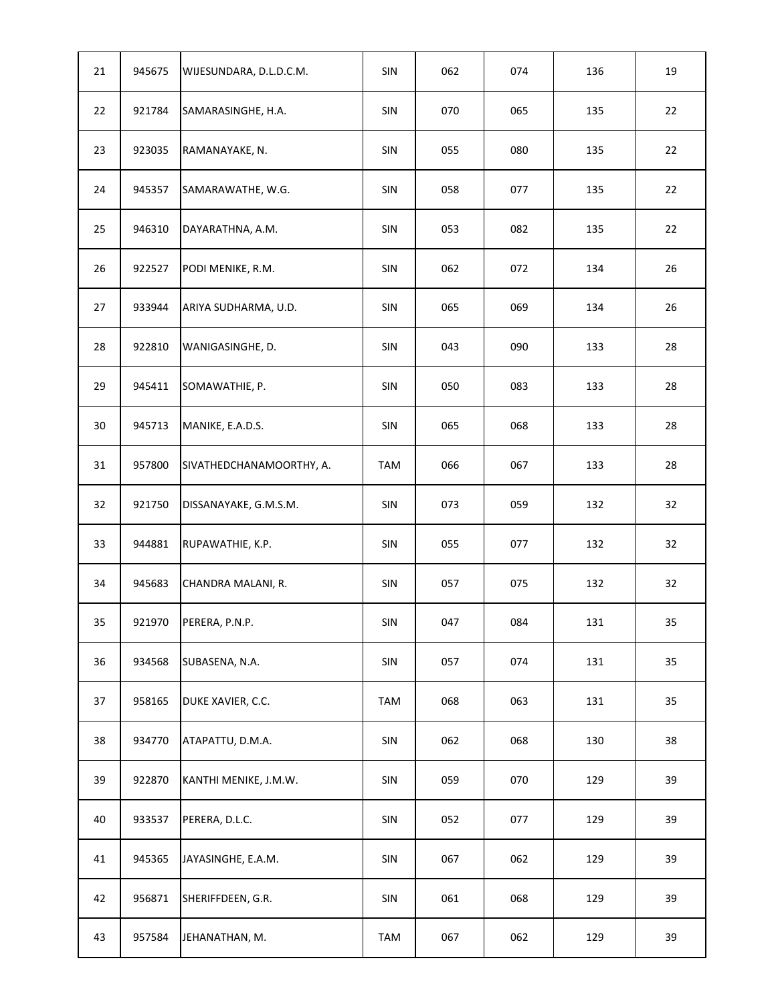| 21 | 945675 | WIJESUNDARA, D.L.D.C.M.  | SIN        | 062 | 074 | 136 | 19 |
|----|--------|--------------------------|------------|-----|-----|-----|----|
| 22 | 921784 | SAMARASINGHE, H.A.       | SIN        | 070 | 065 | 135 | 22 |
| 23 | 923035 | RAMANAYAKE, N.           | SIN        | 055 | 080 | 135 | 22 |
| 24 | 945357 | SAMARAWATHE, W.G.        | SIN        | 058 | 077 | 135 | 22 |
| 25 | 946310 | DAYARATHNA, A.M.         | SIN        | 053 | 082 | 135 | 22 |
| 26 | 922527 | PODI MENIKE, R.M.        | SIN        | 062 | 072 | 134 | 26 |
| 27 | 933944 | ARIYA SUDHARMA, U.D.     | SIN        | 065 | 069 | 134 | 26 |
| 28 | 922810 | WANIGASINGHE, D.         | SIN        | 043 | 090 | 133 | 28 |
| 29 | 945411 | SOMAWATHIE, P.           | SIN        | 050 | 083 | 133 | 28 |
| 30 | 945713 | MANIKE, E.A.D.S.         | SIN        | 065 | 068 | 133 | 28 |
| 31 | 957800 | SIVATHEDCHANAMOORTHY, A. | <b>TAM</b> | 066 | 067 | 133 | 28 |
| 32 | 921750 | DISSANAYAKE, G.M.S.M.    | SIN        | 073 | 059 | 132 | 32 |
| 33 | 944881 | RUPAWATHIE, K.P.         | SIN        | 055 | 077 | 132 | 32 |
| 34 | 945683 | CHANDRA MALANI, R.       | SIN        | 057 | 075 | 132 | 32 |
| 35 | 921970 | PERERA, P.N.P.           | SIN        | 047 | 084 | 131 | 35 |
| 36 | 934568 | SUBASENA, N.A.           | SIN        | 057 | 074 | 131 | 35 |
| 37 | 958165 | DUKE XAVIER, C.C.        | <b>TAM</b> | 068 | 063 | 131 | 35 |
| 38 | 934770 | ATAPATTU, D.M.A.         | SIN        | 062 | 068 | 130 | 38 |
| 39 | 922870 | KANTHI MENIKE, J.M.W.    | SIN        | 059 | 070 | 129 | 39 |
| 40 | 933537 | PERERA, D.L.C.           | SIN        | 052 | 077 | 129 | 39 |
| 41 | 945365 | JAYASINGHE, E.A.M.       | SIN        | 067 | 062 | 129 | 39 |
| 42 | 956871 | SHERIFFDEEN, G.R.        | SIN        | 061 | 068 | 129 | 39 |
| 43 | 957584 | JEHANATHAN, M.           | <b>TAM</b> | 067 | 062 | 129 | 39 |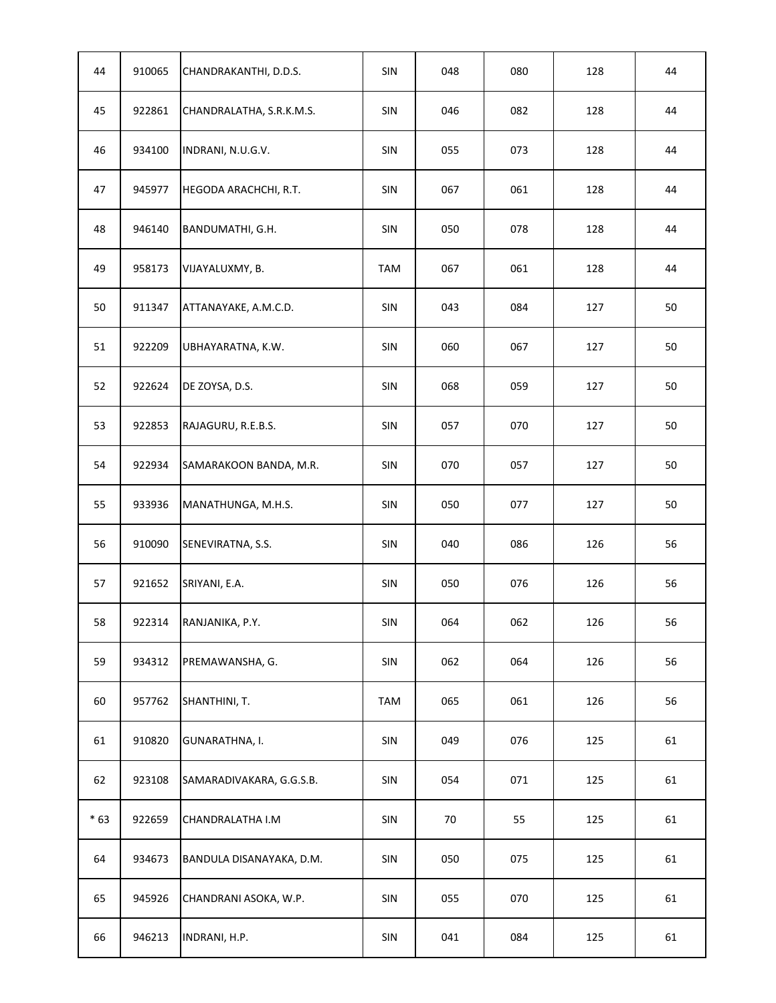| 44    | 910065 | CHANDRAKANTHI, D.D.S.    | SIN        | 048 | 080 | 128 | 44 |
|-------|--------|--------------------------|------------|-----|-----|-----|----|
| 45    | 922861 | CHANDRALATHA, S.R.K.M.S. | SIN        | 046 | 082 | 128 | 44 |
| 46    | 934100 | INDRANI, N.U.G.V.        | SIN        | 055 | 073 | 128 | 44 |
| 47    | 945977 | HEGODA ARACHCHI, R.T.    | SIN        | 067 | 061 | 128 | 44 |
| 48    | 946140 | BANDUMATHI, G.H.         | SIN        | 050 | 078 | 128 | 44 |
| 49    | 958173 | VIJAYALUXMY, B.          | <b>TAM</b> | 067 | 061 | 128 | 44 |
| 50    | 911347 | ATTANAYAKE, A.M.C.D.     | SIN        | 043 | 084 | 127 | 50 |
| 51    | 922209 | UBHAYARATNA, K.W.        | SIN        | 060 | 067 | 127 | 50 |
| 52    | 922624 | DE ZOYSA, D.S.           | SIN        | 068 | 059 | 127 | 50 |
| 53    | 922853 | RAJAGURU, R.E.B.S.       | SIN        | 057 | 070 | 127 | 50 |
| 54    | 922934 | SAMARAKOON BANDA, M.R.   | SIN        | 070 | 057 | 127 | 50 |
| 55    | 933936 | MANATHUNGA, M.H.S.       | SIN        | 050 | 077 | 127 | 50 |
| 56    | 910090 | SENEVIRATNA, S.S.        | SIN        | 040 | 086 | 126 | 56 |
| 57    | 921652 | SRIYANI, E.A.            | SIN        | 050 | 076 | 126 | 56 |
| 58    | 922314 | RANJANIKA, P.Y.          | SIN        | 064 | 062 | 126 | 56 |
| 59    | 934312 | PREMAWANSHA, G.          | SIN        | 062 | 064 | 126 | 56 |
| 60    | 957762 | SHANTHINI, T.            | <b>TAM</b> | 065 | 061 | 126 | 56 |
| 61    | 910820 | GUNARATHNA, I.           | SIN        | 049 | 076 | 125 | 61 |
| 62    | 923108 | SAMARADIVAKARA, G.G.S.B. | SIN        | 054 | 071 | 125 | 61 |
| $*63$ | 922659 | CHANDRALATHA I.M         | SIN        | 70  | 55  | 125 | 61 |
| 64    | 934673 | BANDULA DISANAYAKA, D.M. | SIN        | 050 | 075 | 125 | 61 |
| 65    | 945926 | CHANDRANI ASOKA, W.P.    | SIN        | 055 | 070 | 125 | 61 |
| 66    | 946213 | INDRANI, H.P.            | SIN        | 041 | 084 | 125 | 61 |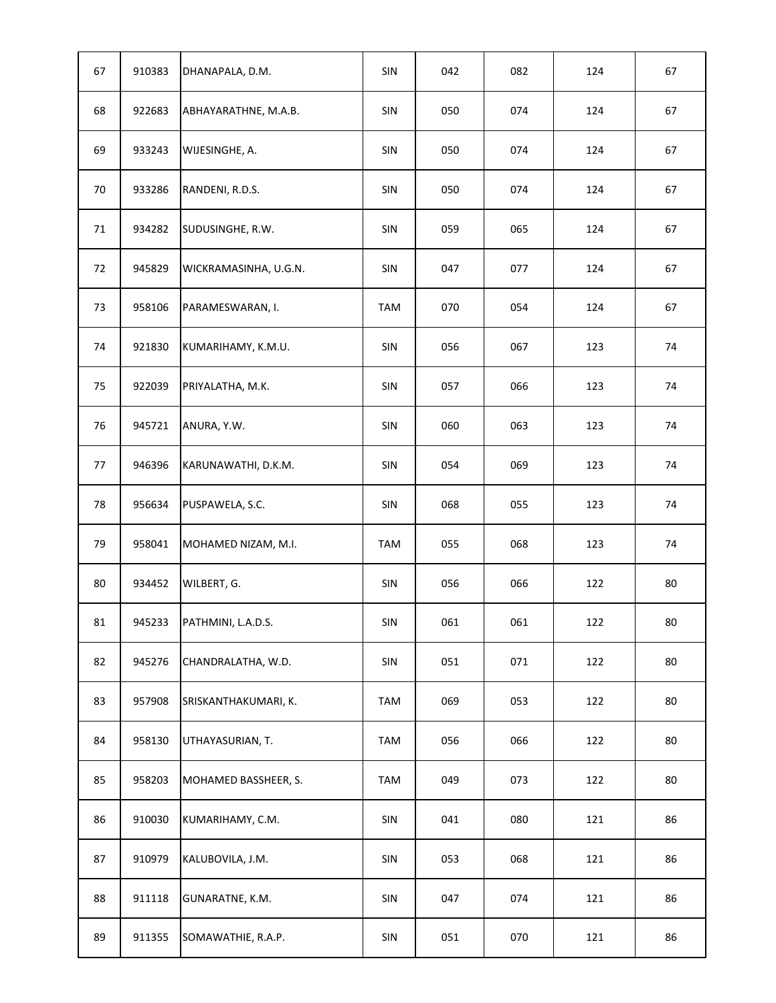| 67 | 910383 | DHANAPALA, D.M.       | SIN        | 042 | 082 | 124 | 67 |
|----|--------|-----------------------|------------|-----|-----|-----|----|
| 68 | 922683 | ABHAYARATHNE, M.A.B.  | SIN        | 050 | 074 | 124 | 67 |
| 69 | 933243 | WIJESINGHE, A.        | SIN        | 050 | 074 | 124 | 67 |
| 70 | 933286 | RANDENI, R.D.S.       | SIN        | 050 | 074 | 124 | 67 |
| 71 | 934282 | SUDUSINGHE, R.W.      | SIN        | 059 | 065 | 124 | 67 |
| 72 | 945829 | WICKRAMASINHA, U.G.N. | SIN        | 047 | 077 | 124 | 67 |
| 73 | 958106 | PARAMESWARAN, I.      | <b>TAM</b> | 070 | 054 | 124 | 67 |
| 74 | 921830 | KUMARIHAMY, K.M.U.    | SIN        | 056 | 067 | 123 | 74 |
| 75 | 922039 | PRIYALATHA, M.K.      | SIN        | 057 | 066 | 123 | 74 |
| 76 | 945721 | ANURA, Y.W.           | SIN        | 060 | 063 | 123 | 74 |
| 77 | 946396 | KARUNAWATHI, D.K.M.   | SIN        | 054 | 069 | 123 | 74 |
| 78 | 956634 | PUSPAWELA, S.C.       | SIN        | 068 | 055 | 123 | 74 |
| 79 | 958041 | MOHAMED NIZAM, M.I.   | <b>TAM</b> | 055 | 068 | 123 | 74 |
| 80 | 934452 | WILBERT, G.           | SIN        | 056 | 066 | 122 | 80 |
| 81 | 945233 | PATHMINI, L.A.D.S.    | SIN        | 061 | 061 | 122 | 80 |
| 82 | 945276 | CHANDRALATHA, W.D.    | SIN        | 051 | 071 | 122 | 80 |
| 83 | 957908 | SRISKANTHAKUMARI, K.  | <b>TAM</b> | 069 | 053 | 122 | 80 |
| 84 | 958130 | UTHAYASURIAN, T.      | <b>TAM</b> | 056 | 066 | 122 | 80 |
| 85 | 958203 | MOHAMED BASSHEER, S.  | <b>TAM</b> | 049 | 073 | 122 | 80 |
| 86 | 910030 | KUMARIHAMY, C.M.      | SIN        | 041 | 080 | 121 | 86 |
| 87 | 910979 | KALUBOVILA, J.M.      | SIN        | 053 | 068 | 121 | 86 |
| 88 | 911118 | GUNARATNE, K.M.       | SIN        | 047 | 074 | 121 | 86 |
| 89 | 911355 | SOMAWATHIE, R.A.P.    | SIN        | 051 | 070 | 121 | 86 |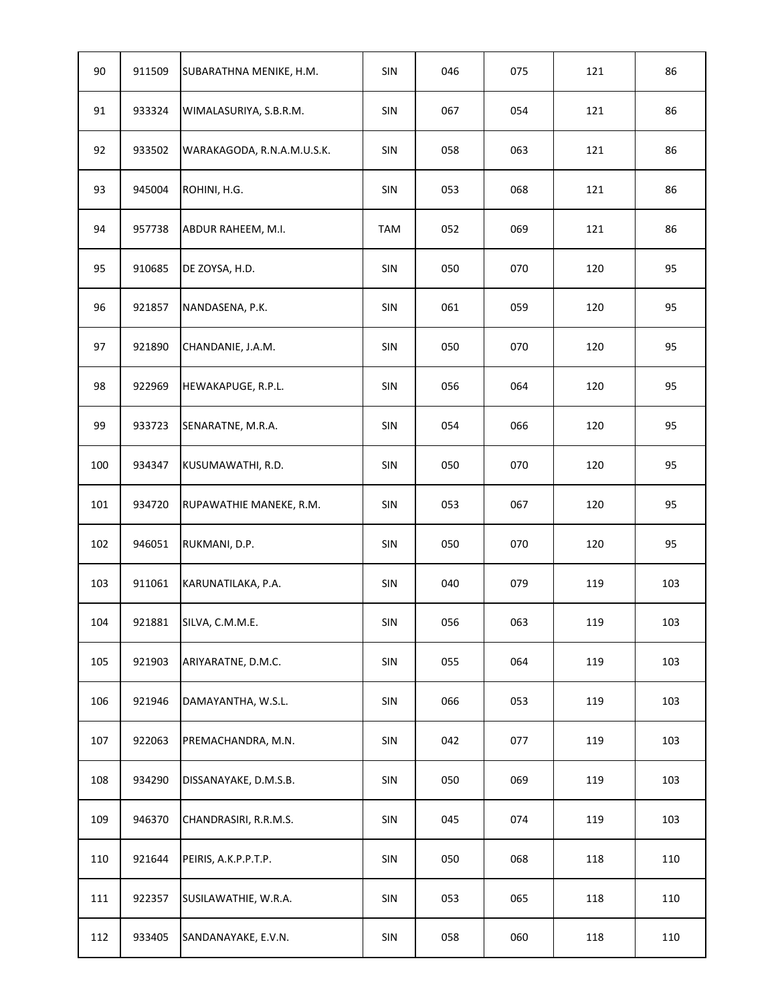| 90  | 911509 | SUBARATHNA MENIKE, H.M.    | SIN        | 046 | 075 | 121 | 86  |
|-----|--------|----------------------------|------------|-----|-----|-----|-----|
| 91  | 933324 | WIMALASURIYA, S.B.R.M.     | SIN        | 067 | 054 | 121 | 86  |
| 92  | 933502 | WARAKAGODA, R.N.A.M.U.S.K. | SIN        | 058 | 063 | 121 | 86  |
| 93  | 945004 | ROHINI, H.G.               | SIN        | 053 | 068 | 121 | 86  |
| 94  | 957738 | ABDUR RAHEEM, M.I.         | <b>TAM</b> | 052 | 069 | 121 | 86  |
| 95  | 910685 | DE ZOYSA, H.D.             | SIN        | 050 | 070 | 120 | 95  |
| 96  | 921857 | NANDASENA, P.K.            | SIN        | 061 | 059 | 120 | 95  |
| 97  | 921890 | CHANDANIE, J.A.M.          | SIN        | 050 | 070 | 120 | 95  |
| 98  | 922969 | HEWAKAPUGE, R.P.L.         | SIN        | 056 | 064 | 120 | 95  |
| 99  | 933723 | SENARATNE, M.R.A.          | SIN        | 054 | 066 | 120 | 95  |
| 100 | 934347 | KUSUMAWATHI, R.D.          | SIN        | 050 | 070 | 120 | 95  |
| 101 | 934720 | RUPAWATHIE MANEKE, R.M.    | SIN        | 053 | 067 | 120 | 95  |
| 102 | 946051 | RUKMANI, D.P.              | SIN        | 050 | 070 | 120 | 95  |
| 103 | 911061 | KARUNATILAKA, P.A.         | SIN        | 040 | 079 | 119 | 103 |
| 104 | 921881 | SILVA, C.M.M.E.            | SIN        | 056 | 063 | 119 | 103 |
| 105 | 921903 | ARIYARATNE, D.M.C.         | SIN        | 055 | 064 | 119 | 103 |
| 106 | 921946 | DAMAYANTHA, W.S.L.         | SIN        | 066 | 053 | 119 | 103 |
| 107 | 922063 | PREMACHANDRA, M.N.         | SIN        | 042 | 077 | 119 | 103 |
| 108 | 934290 | DISSANAYAKE, D.M.S.B.      | SIN        | 050 | 069 | 119 | 103 |
| 109 | 946370 | CHANDRASIRI, R.R.M.S.      | SIN        | 045 | 074 | 119 | 103 |
| 110 | 921644 | PEIRIS, A.K.P.P.T.P.       | SIN        | 050 | 068 | 118 | 110 |
| 111 | 922357 | SUSILAWATHIE, W.R.A.       | SIN        | 053 | 065 | 118 | 110 |
| 112 | 933405 | SANDANAYAKE, E.V.N.        | SIN        | 058 | 060 | 118 | 110 |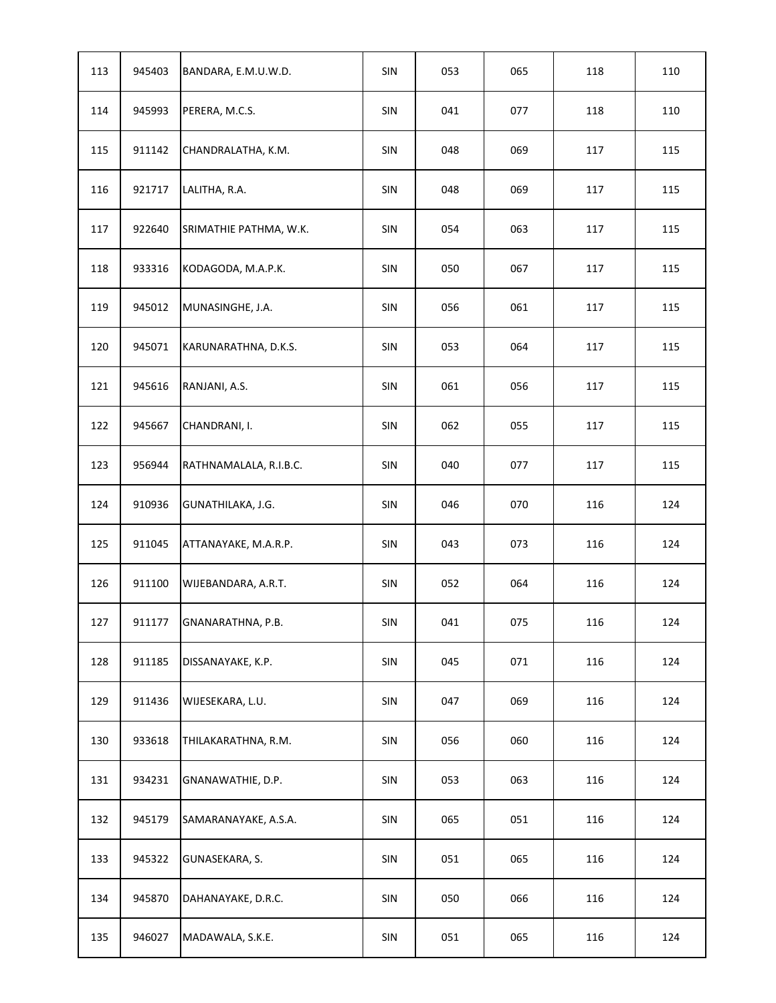| 113 | 945403 | BANDARA, E.M.U.W.D.    | <b>SIN</b>     | 053 | 065 | 118 | 110 |
|-----|--------|------------------------|----------------|-----|-----|-----|-----|
| 114 | 945993 | PERERA, M.C.S.         | SIN            | 041 | 077 | 118 | 110 |
| 115 | 911142 | CHANDRALATHA, K.M.     | SIN            | 048 | 069 | 117 | 115 |
| 116 | 921717 | LALITHA, R.A.          | <b>SIN</b>     | 048 | 069 | 117 | 115 |
| 117 | 922640 | SRIMATHIE PATHMA, W.K. | SIN            | 054 | 063 | 117 | 115 |
| 118 | 933316 | KODAGODA, M.A.P.K.     | SIN            | 050 | 067 | 117 | 115 |
| 119 | 945012 | MUNASINGHE, J.A.       | SIN            | 056 | 061 | 117 | 115 |
| 120 | 945071 | KARUNARATHNA, D.K.S.   | SIN            | 053 | 064 | 117 | 115 |
| 121 | 945616 | RANJANI, A.S.          | SIN            | 061 | 056 | 117 | 115 |
| 122 | 945667 | CHANDRANI, I.          | SIN            | 062 | 055 | 117 | 115 |
| 123 | 956944 | RATHNAMALALA, R.I.B.C. | SIN            | 040 | 077 | 117 | 115 |
| 124 | 910936 | GUNATHILAKA, J.G.      | SIN            | 046 | 070 | 116 | 124 |
| 125 | 911045 | ATTANAYAKE, M.A.R.P.   | SIN            | 043 | 073 | 116 | 124 |
| 126 | 911100 | WIJEBANDARA, A.R.T.    | SIN            | 052 | 064 | 116 | 124 |
| 127 | 911177 | GNANARATHNA, P.B.      | $\mathsf{SIN}$ | 041 | 075 | 116 | 124 |
| 128 | 911185 | DISSANAYAKE, K.P.      | SIN            | 045 | 071 | 116 | 124 |
| 129 | 911436 | WIJESEKARA, L.U.       | SIN            | 047 | 069 | 116 | 124 |
| 130 | 933618 | THILAKARATHNA, R.M.    | SIN            | 056 | 060 | 116 | 124 |
| 131 | 934231 | GNANAWATHIE, D.P.      | SIN            | 053 | 063 | 116 | 124 |
| 132 | 945179 | SAMARANAYAKE, A.S.A.   | SIN            | 065 | 051 | 116 | 124 |
| 133 | 945322 | GUNASEKARA, S.         | SIN            | 051 | 065 | 116 | 124 |
| 134 | 945870 | DAHANAYAKE, D.R.C.     | SIN            | 050 | 066 | 116 | 124 |
| 135 | 946027 | MADAWALA, S.K.E.       | SIN            | 051 | 065 | 116 | 124 |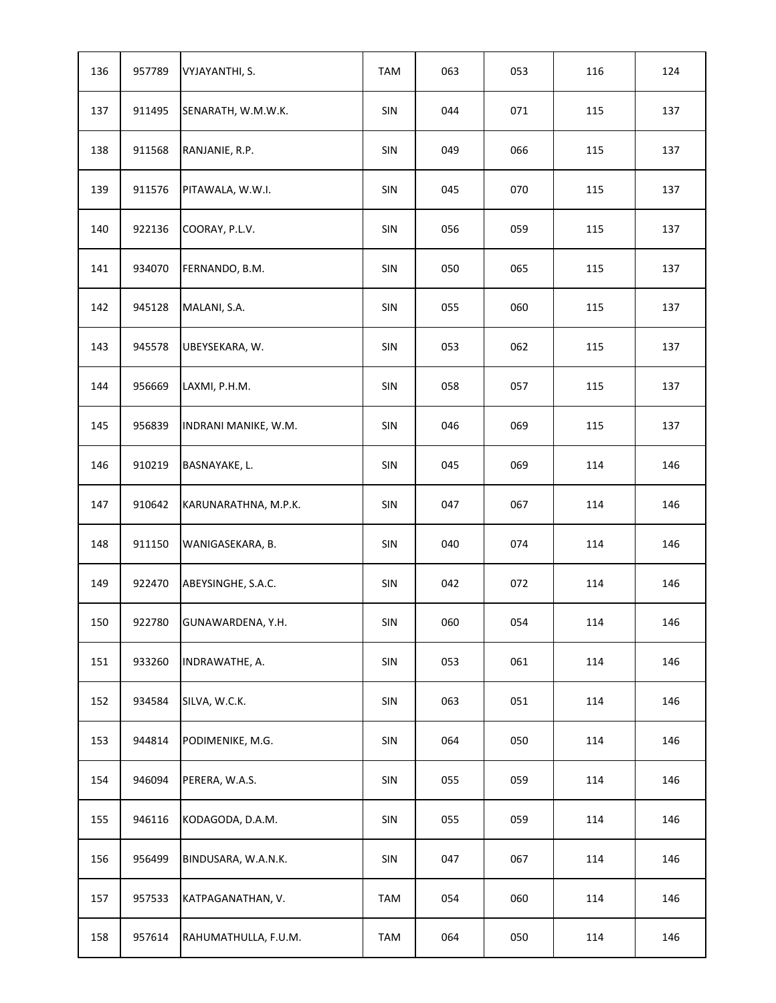| 136 | 957789 | VYJAYANTHI, S.       | TAM            | 063 | 053 | 116 | 124 |
|-----|--------|----------------------|----------------|-----|-----|-----|-----|
| 137 | 911495 | SENARATH, W.M.W.K.   | SIN            | 044 | 071 | 115 | 137 |
| 138 | 911568 | RANJANIE, R.P.       | SIN            | 049 | 066 | 115 | 137 |
| 139 | 911576 | PITAWALA, W.W.I.     | SIN            | 045 | 070 | 115 | 137 |
| 140 | 922136 | COORAY, P.L.V.       | <b>SIN</b>     | 056 | 059 | 115 | 137 |
| 141 | 934070 | FERNANDO, B.M.       | SIN            | 050 | 065 | 115 | 137 |
| 142 | 945128 | MALANI, S.A.         | SIN            | 055 | 060 | 115 | 137 |
| 143 | 945578 | UBEYSEKARA, W.       | SIN            | 053 | 062 | 115 | 137 |
| 144 | 956669 | LAXMI, P.H.M.        | SIN            | 058 | 057 | 115 | 137 |
| 145 | 956839 | INDRANI MANIKE, W.M. | SIN            | 046 | 069 | 115 | 137 |
| 146 | 910219 | BASNAYAKE, L.        | SIN            | 045 | 069 | 114 | 146 |
| 147 | 910642 | KARUNARATHNA, M.P.K. | SIN            | 047 | 067 | 114 | 146 |
| 148 | 911150 | WANIGASEKARA, B.     | SIN            | 040 | 074 | 114 | 146 |
| 149 | 922470 | ABEYSINGHE, S.A.C.   | SIN            | 042 | 072 | 114 | 146 |
| 150 | 922780 | GUNAWARDENA, Y.H.    | $\mathsf{SIN}$ | 060 | 054 | 114 | 146 |
| 151 | 933260 | INDRAWATHE, A.       | SIN            | 053 | 061 | 114 | 146 |
| 152 | 934584 | SILVA, W.C.K.        | SIN            | 063 | 051 | 114 | 146 |
| 153 | 944814 | PODIMENIKE, M.G.     | SIN            | 064 | 050 | 114 | 146 |
| 154 | 946094 | PERERA, W.A.S.       | SIN            | 055 | 059 | 114 | 146 |
| 155 | 946116 | KODAGODA, D.A.M.     | SIN            | 055 | 059 | 114 | 146 |
| 156 | 956499 | BINDUSARA, W.A.N.K.  | SIN            | 047 | 067 | 114 | 146 |
| 157 | 957533 | KATPAGANATHAN, V.    | TAM            | 054 | 060 | 114 | 146 |
| 158 | 957614 | RAHUMATHULLA, F.U.M. | TAM            | 064 | 050 | 114 | 146 |